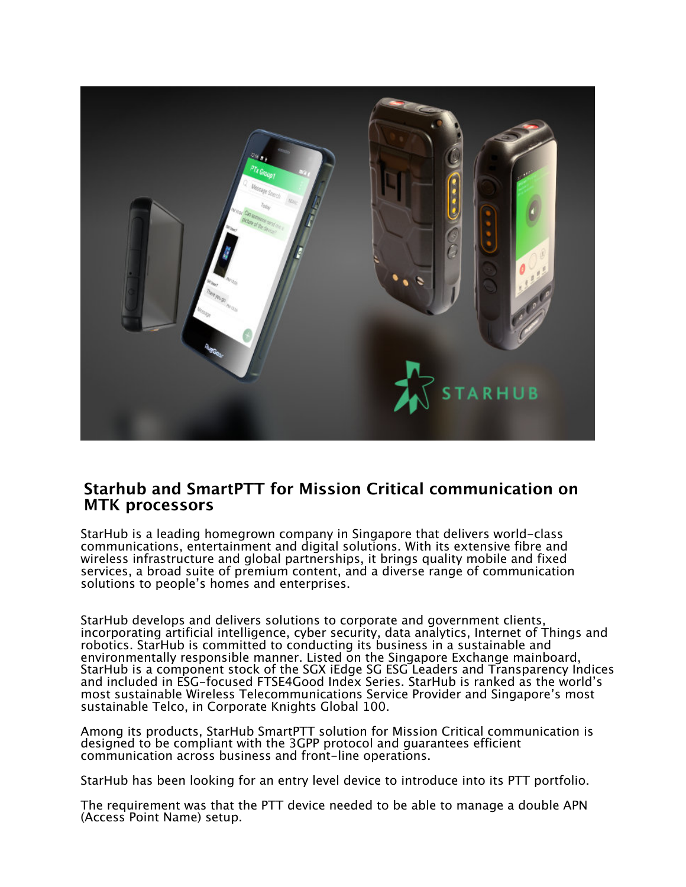

## **Starhub and SmartPTT for Mission Critical communication on MTK processors**

StarHub is a leading homegrown company in Singapore that delivers world-class communications, entertainment and digital solutions. With its extensive fibre and wireless infrastructure and global partnerships, it brings quality mobile and fixed services, a broad suite of premium content, and a diverse range of communication solutions to people's homes and enterprises.

StarHub develops and delivers solutions to corporate and government clients, incorporating artificial intelligence, cyber security, data analytics, Internet of Things and robotics. StarHub is committed to conducting its business in a sustainable and environmentally responsible manner. Listed on the Singapore Exchange mainboard, StarHub is a component stock of the SGX iEdge SG ESG Leaders and Transparency Indices and included in ESG-focused FTSE4Good Index Series. StarHub is ranked as the world's most sustainable Wireless Telecommunications Service Provider and Singapore's most sustainable Telco, in Corporate Knights Global 100.

Among its products, StarHub SmartPTT solution for Mission Critical communication is designed to be compliant with the 3GPP protocol and guarantees efficient communication across business and front-line operations.

StarHub has been looking for an entry level device to introduce into its PTT portfolio.

The requirement was that the PTT device needed to be able to manage a double APN (Access Point Name) setup.